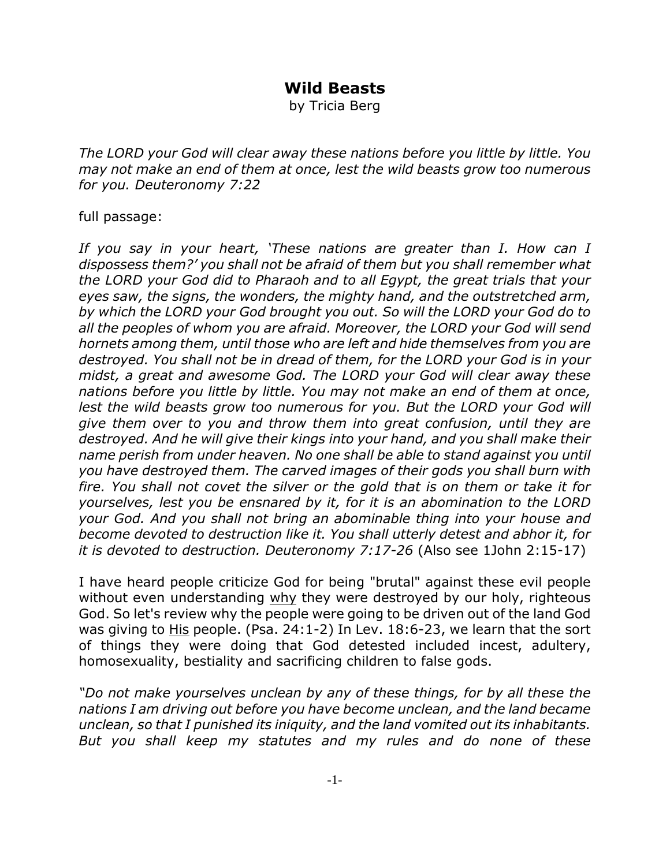## **Wild Beasts**

by Tricia Berg

*The LORD your God will clear away these nations before you little by little. You may not make an end of them at once, lest the wild beasts grow too numerous for you. Deuteronomy 7:22*

full passage:

*If you say in your heart, 'These nations are greater than I. How can I dispossess them?' you shall not be afraid of them but you shall remember what the LORD your God did to Pharaoh and to all Egypt, the great trials that your eyes saw, the signs, the wonders, the mighty hand, and the outstretched arm, by which the LORD your God brought you out. So will the LORD your God do to all the peoples of whom you are afraid. Moreover, the LORD your God will send hornets among them, until those who are left and hide themselves from you are destroyed. You shall not be in dread of them, for the LORD your God is in your midst, a great and awesome God. The LORD your God will clear away these nations before you little by little. You may not make an end of them at once, lest the wild beasts grow too numerous for you. But the LORD your God will give them over to you and throw them into great confusion, until they are destroyed. And he will give their kings into your hand, and you shall make their name perish from under heaven. No one shall be able to stand against you until you have destroyed them. The carved images of their gods you shall burn with fire. You shall not covet the silver or the gold that is on them or take it for yourselves, lest you be ensnared by it, for it is an abomination to the LORD your God. And you shall not bring an abominable thing into your house and become devoted to destruction like it. You shall utterly detest and abhor it, for it is devoted to destruction. Deuteronomy 7:17-26* (Also see 1John 2:15-17)

I have heard people criticize God for being "brutal" against these evil people without even understanding why they were destroyed by our holy, righteous God. So let's review why the people were going to be driven out of the land God was giving to His people. (Psa. 24:1-2) In Lev. 18:6-23, we learn that the sort of things they were doing that God detested included incest, adultery, homosexuality, bestiality and sacrificing children to false gods.

*"Do not make yourselves unclean by any of these things, for by all these the nations I am driving out before you have become unclean, and the land became unclean, so that I punished its iniquity, and the land vomited out its inhabitants. But you shall keep my statutes and my rules and do none of these*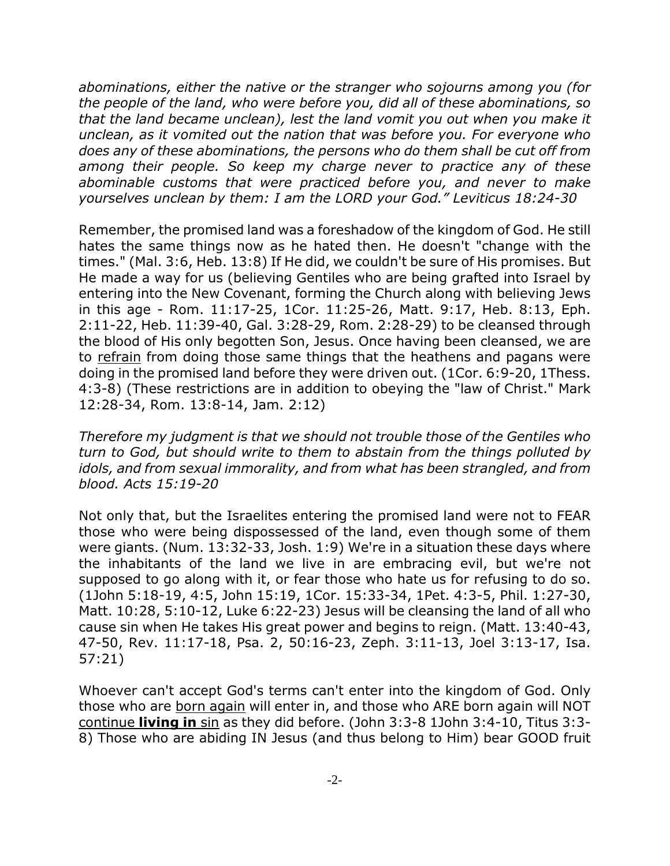*abominations, either the native or the stranger who sojourns among you (for the people of the land, who were before you, did all of these abominations, so that the land became unclean), lest the land vomit you out when you make it unclean, as it vomited out the nation that was before you. For everyone who does any of these abominations, the persons who do them shall be cut off from among their people. So keep my charge never to practice any of these abominable customs that were practiced before you, and never to make yourselves unclean by them: I am the LORD your God." Leviticus 18:24-30*

Remember, the promised land was a foreshadow of the kingdom of God. He still hates the same things now as he hated then. He doesn't "change with the times." (Mal. 3:6, Heb. 13:8) If He did, we couldn't be sure of His promises. But He made a way for us (believing Gentiles who are being grafted into Israel by entering into the New Covenant, forming the Church along with believing Jews in this age - Rom. 11:17-25, 1Cor. 11:25-26, Matt. 9:17, Heb. 8:13, Eph. 2:11-22, Heb. 11:39-40, Gal. 3:28-29, Rom. 2:28-29) to be cleansed through the blood of His only begotten Son, Jesus. Once having been cleansed, we are to refrain from doing those same things that the heathens and pagans were doing in the promised land before they were driven out. (1Cor. 6:9-20, 1Thess. 4:3-8) (These restrictions are in addition to obeying the "law of Christ." Mark 12:28-34, Rom. 13:8-14, Jam. 2:12)

*Therefore my judgment is that we should not trouble those of the Gentiles who turn to God, but should write to them to abstain from the things polluted by idols, and from sexual immorality, and from what has been strangled, and from blood. Acts 15:19-20*

Not only that, but the Israelites entering the promised land were not to FEAR those who were being dispossessed of the land, even though some of them were giants. (Num. 13:32-33, Josh. 1:9) We're in a situation these days where the inhabitants of the land we live in are embracing evil, but we're not supposed to go along with it, or fear those who hate us for refusing to do so. (1John 5:18-19, 4:5, John 15:19, 1Cor. 15:33-34, 1Pet. 4:3-5, Phil. 1:27-30, Matt. 10:28, 5:10-12, Luke 6:22-23) Jesus will be cleansing the land of all who cause sin when He takes His great power and begins to reign. (Matt. 13:40-43, 47-50, Rev. 11:17-18, Psa. 2, 50:16-23, Zeph. 3:11-13, Joel 3:13-17, Isa. 57:21)

Whoever can't accept God's terms can't enter into the kingdom of God. Only those who are born again will enter in, and those who ARE born again will NOT continue **living in** sin as they did before. (John 3:3-8 1John 3:4-10, Titus 3:3- 8) Those who are abiding IN Jesus (and thus belong to Him) bear GOOD fruit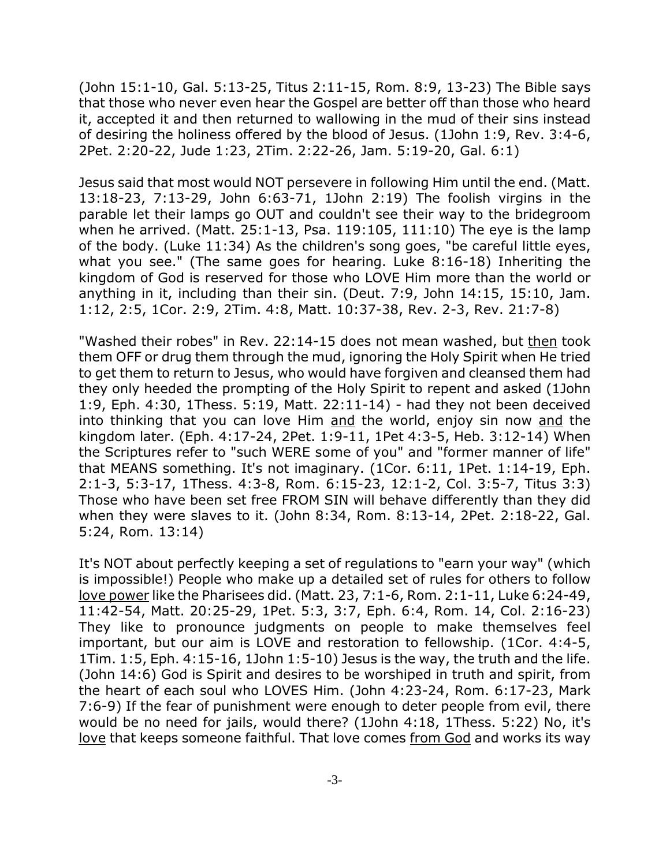(John 15:1-10, Gal. 5:13-25, Titus 2:11-15, Rom. 8:9, 13-23) The Bible says that those who never even hear the Gospel are better off than those who heard it, accepted it and then returned to wallowing in the mud of their sins instead of desiring the holiness offered by the blood of Jesus. (1John 1:9, Rev. 3:4-6, 2Pet. 2:20-22, Jude 1:23, 2Tim. 2:22-26, Jam. 5:19-20, Gal. 6:1)

Jesus said that most would NOT persevere in following Him until the end. (Matt. 13:18-23, 7:13-29, John 6:63-71, 1John 2:19) The foolish virgins in the parable let their lamps go OUT and couldn't see their way to the bridegroom when he arrived. (Matt. 25:1-13, Psa. 119:105, 111:10) The eye is the lamp of the body. (Luke 11:34) As the children's song goes, "be careful little eyes, what you see." (The same goes for hearing. Luke 8:16-18) Inheriting the kingdom of God is reserved for those who LOVE Him more than the world or anything in it, including than their sin. (Deut. 7:9, John 14:15, 15:10, Jam. 1:12, 2:5, 1Cor. 2:9, 2Tim. 4:8, Matt. 10:37-38, Rev. 2-3, Rev. 21:7-8)

"Washed their robes" in Rev. 22:14-15 does not mean washed, but then took them OFF or drug them through the mud, ignoring the Holy Spirit when He tried to get them to return to Jesus, who would have forgiven and cleansed them had they only heeded the prompting of the Holy Spirit to repent and asked (1John 1:9, Eph. 4:30, 1Thess. 5:19, Matt. 22:11-14) - had they not been deceived into thinking that you can love Him and the world, enjoy sin now and the kingdom later. (Eph. 4:17-24, 2Pet. 1:9-11, 1Pet 4:3-5, Heb. 3:12-14) When the Scriptures refer to "such WERE some of you" and "former manner of life" that MEANS something. It's not imaginary. (1Cor. 6:11, 1Pet. 1:14-19, Eph. 2:1-3, 5:3-17, 1Thess. 4:3-8, Rom. 6:15-23, 12:1-2, Col. 3:5-7, Titus 3:3) Those who have been set free FROM SIN will behave differently than they did when they were slaves to it. (John 8:34, Rom. 8:13-14, 2Pet. 2:18-22, Gal. 5:24, Rom. 13:14)

It's NOT about perfectly keeping a set of regulations to "earn your way" (which is impossible!) People who make up a detailed set of rules for others to follow love power like the Pharisees did. (Matt. 23, 7:1-6, Rom. 2:1-11, Luke 6:24-49, 11:42-54, Matt. 20:25-29, 1Pet. 5:3, 3:7, Eph. 6:4, Rom. 14, Col. 2:16-23) They like to pronounce judgments on people to make themselves feel important, but our aim is LOVE and restoration to fellowship. (1Cor. 4:4-5, 1Tim. 1:5, Eph. 4:15-16, 1John 1:5-10) Jesus is the way, the truth and the life. (John 14:6) God is Spirit and desires to be worshiped in truth and spirit, from the heart of each soul who LOVES Him. (John 4:23-24, Rom. 6:17-23, Mark 7:6-9) If the fear of punishment were enough to deter people from evil, there would be no need for jails, would there? (1John 4:18, 1Thess. 5:22) No, it's love that keeps someone faithful. That love comes from God and works its way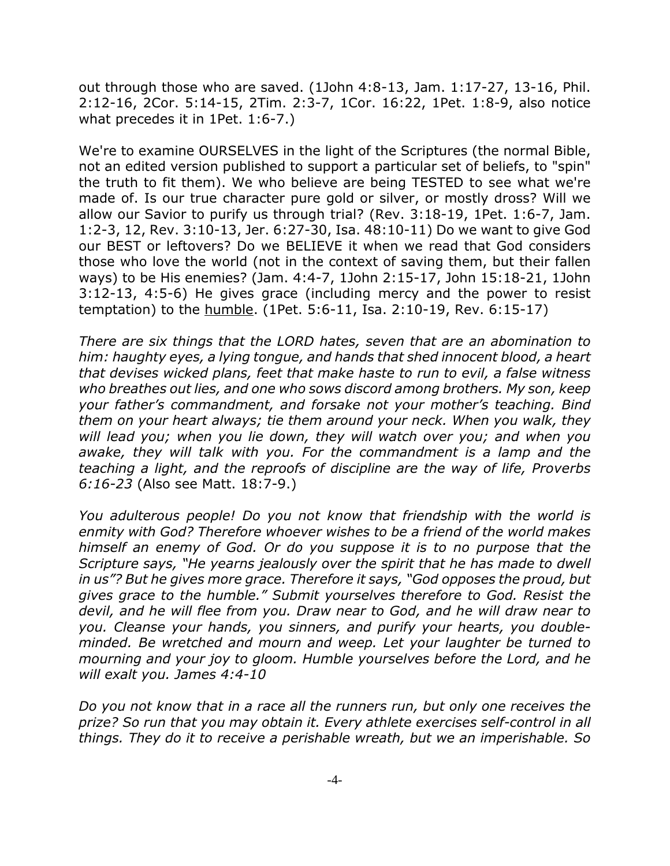out through those who are saved. (1John 4:8-13, Jam. 1:17-27, 13-16, Phil. 2:12-16, 2Cor. 5:14-15, 2Tim. 2:3-7, 1Cor. 16:22, 1Pet. 1:8-9, also notice what precedes it in 1Pet. 1:6-7.)

We're to examine OURSELVES in the light of the Scriptures (the normal Bible, not an edited version published to support a particular set of beliefs, to "spin" the truth to fit them). We who believe are being TESTED to see what we're made of. Is our true character pure gold or silver, or mostly dross? Will we allow our Savior to purify us through trial? (Rev. 3:18-19, 1Pet. 1:6-7, Jam. 1:2-3, 12, Rev. 3:10-13, Jer. 6:27-30, Isa. 48:10-11) Do we want to give God our BEST or leftovers? Do we BELIEVE it when we read that God considers those who love the world (not in the context of saving them, but their fallen ways) to be His enemies? (Jam. 4:4-7, 1John 2:15-17, John 15:18-21, 1John 3:12-13, 4:5-6) He gives grace (including mercy and the power to resist temptation) to the humble. (1Pet. 5:6-11, Isa. 2:10-19, Rev. 6:15-17)

*There are six things that the LORD hates, seven that are an abomination to him: haughty eyes, a lying tongue, and hands that shed innocent blood, a heart that devises wicked plans, feet that make haste to run to evil, a false witness who breathes out lies, and one who sows discord among brothers. My son, keep your father's commandment, and forsake not your mother's teaching. Bind them on your heart always; tie them around your neck. When you walk, they will lead you; when you lie down, they will watch over you; and when you awake, they will talk with you. For the commandment is a lamp and the teaching a light, and the reproofs of discipline are the way of life, Proverbs 6:16-23* (Also see Matt. 18:7-9.)

*You adulterous people! Do you not know that friendship with the world is enmity with God? Therefore whoever wishes to be a friend of the world makes himself an enemy of God. Or do you suppose it is to no purpose that the Scripture says, "He yearns jealously over the spirit that he has made to dwell in us"? But he gives more grace. Therefore it says, "God opposes the proud, but gives grace to the humble." Submit yourselves therefore to God. Resist the devil, and he will flee from you. Draw near to God, and he will draw near to you. Cleanse your hands, you sinners, and purify your hearts, you doubleminded. Be wretched and mourn and weep. Let your laughter be turned to mourning and your joy to gloom. Humble yourselves before the Lord, and he will exalt you. James 4:4-10*

*Do you not know that in a race all the runners run, but only one receives the prize? So run that you may obtain it. Every athlete exercises self-control in all things. They do it to receive a perishable wreath, but we an imperishable. So*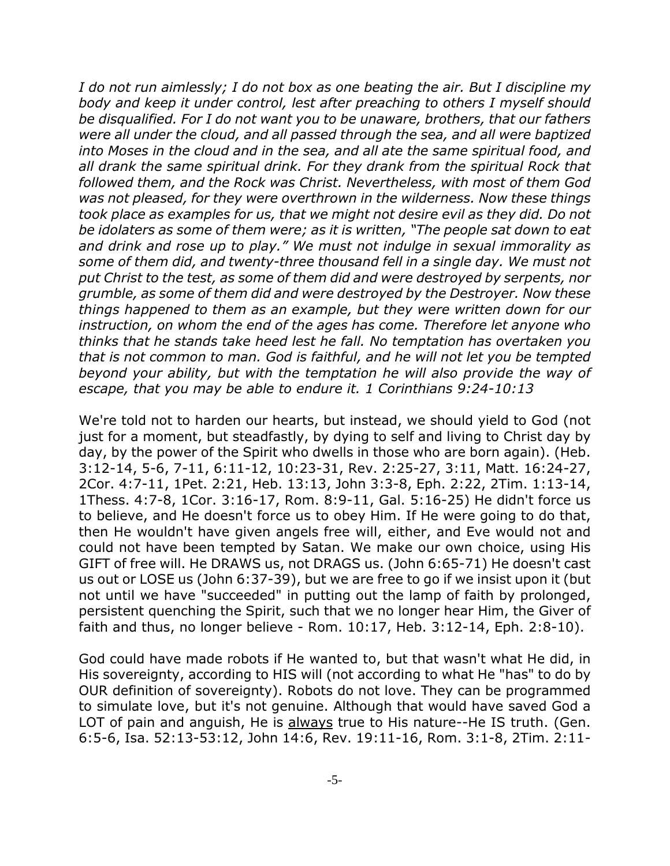*I do not run aimlessly; I do not box as one beating the air. But I discipline my body and keep it under control, lest after preaching to others I myself should be disqualified. For I do not want you to be unaware, brothers, that our fathers were all under the cloud, and all passed through the sea, and all were baptized into Moses in the cloud and in the sea, and all ate the same spiritual food, and all drank the same spiritual drink. For they drank from the spiritual Rock that followed them, and the Rock was Christ. Nevertheless, with most of them God was not pleased, for they were overthrown in the wilderness. Now these things took place as examples for us, that we might not desire evil as they did. Do not be idolaters as some of them were; as it is written, "The people sat down to eat and drink and rose up to play." We must not indulge in sexual immorality as some of them did, and twenty-three thousand fell in a single day. We must not put Christ to the test, as some of them did and were destroyed by serpents, nor grumble, as some of them did and were destroyed by the Destroyer. Now these things happened to them as an example, but they were written down for our instruction, on whom the end of the ages has come. Therefore let anyone who thinks that he stands take heed lest he fall. No temptation has overtaken you that is not common to man. God is faithful, and he will not let you be tempted beyond your ability, but with the temptation he will also provide the way of escape, that you may be able to endure it. 1 Corinthians 9:24-10:13*

We're told not to harden our hearts, but instead, we should yield to God (not just for a moment, but steadfastly, by dying to self and living to Christ day by day, by the power of the Spirit who dwells in those who are born again). (Heb. 3:12-14, 5-6, 7-11, 6:11-12, 10:23-31, Rev. 2:25-27, 3:11, Matt. 16:24-27, 2Cor. 4:7-11, 1Pet. 2:21, Heb. 13:13, John 3:3-8, Eph. 2:22, 2Tim. 1:13-14, 1Thess. 4:7-8, 1Cor. 3:16-17, Rom. 8:9-11, Gal. 5:16-25) He didn't force us to believe, and He doesn't force us to obey Him. If He were going to do that, then He wouldn't have given angels free will, either, and Eve would not and could not have been tempted by Satan. We make our own choice, using His GIFT of free will. He DRAWS us, not DRAGS us. (John 6:65-71) He doesn't cast us out or LOSE us (John 6:37-39), but we are free to go if we insist upon it (but not until we have "succeeded" in putting out the lamp of faith by prolonged, persistent quenching the Spirit, such that we no longer hear Him, the Giver of faith and thus, no longer believe - Rom. 10:17, Heb. 3:12-14, Eph. 2:8-10).

God could have made robots if He wanted to, but that wasn't what He did, in His sovereignty, according to HIS will (not according to what He "has" to do by OUR definition of sovereignty). Robots do not love. They can be programmed to simulate love, but it's not genuine. Although that would have saved God a LOT of pain and anguish, He is always true to His nature--He IS truth. (Gen. 6:5-6, Isa. 52:13-53:12, John 14:6, Rev. 19:11-16, Rom. 3:1-8, 2Tim. 2:11-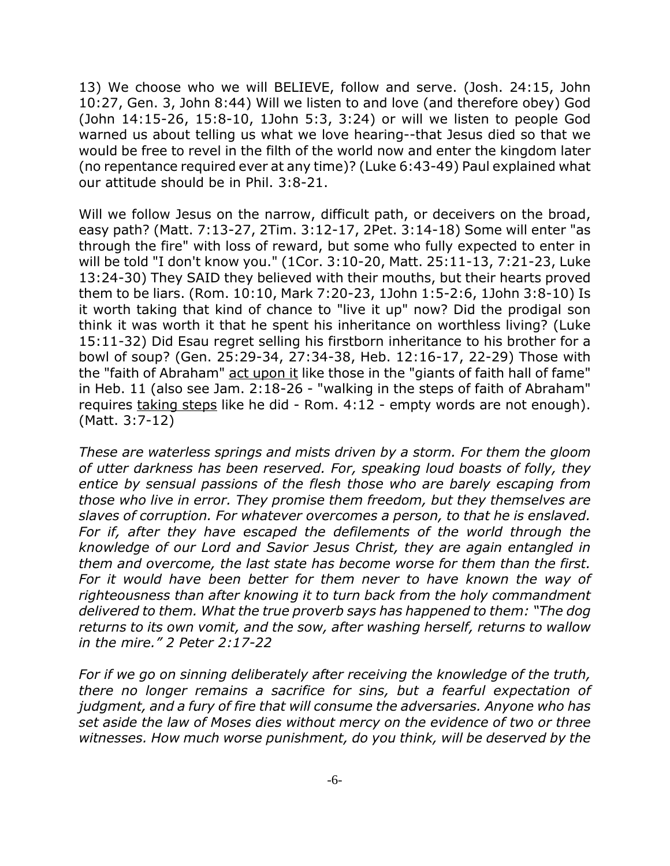13) We choose who we will BELIEVE, follow and serve. (Josh. 24:15, John 10:27, Gen. 3, John 8:44) Will we listen to and love (and therefore obey) God (John 14:15-26, 15:8-10, 1John 5:3, 3:24) or will we listen to people God warned us about telling us what we love hearing--that Jesus died so that we would be free to revel in the filth of the world now and enter the kingdom later (no repentance required ever at any time)? (Luke 6:43-49) Paul explained what our attitude should be in Phil. 3:8-21.

Will we follow Jesus on the narrow, difficult path, or deceivers on the broad, easy path? (Matt. 7:13-27, 2Tim. 3:12-17, 2Pet. 3:14-18) Some will enter "as through the fire" with loss of reward, but some who fully expected to enter in will be told "I don't know you." (1Cor. 3:10-20, Matt. 25:11-13, 7:21-23, Luke 13:24-30) They SAID they believed with their mouths, but their hearts proved them to be liars. (Rom. 10:10, Mark 7:20-23, 1John 1:5-2:6, 1John 3:8-10) Is it worth taking that kind of chance to "live it up" now? Did the prodigal son think it was worth it that he spent his inheritance on worthless living? (Luke 15:11-32) Did Esau regret selling his firstborn inheritance to his brother for a bowl of soup? (Gen. 25:29-34, 27:34-38, Heb. 12:16-17, 22-29) Those with the "faith of Abraham" act upon it like those in the "giants of faith hall of fame" in Heb. 11 (also see Jam. 2:18-26 - "walking in the steps of faith of Abraham" requires taking steps like he did - Rom. 4:12 - empty words are not enough). (Matt. 3:7-12)

*These are waterless springs and mists driven by a storm. For them the gloom of utter darkness has been reserved. For, speaking loud boasts of folly, they entice by sensual passions of the flesh those who are barely escaping from those who live in error. They promise them freedom, but they themselves are slaves of corruption. For whatever overcomes a person, to that he is enslaved. For if, after they have escaped the defilements of the world through the knowledge of our Lord and Savior Jesus Christ, they are again entangled in them and overcome, the last state has become worse for them than the first. For it would have been better for them never to have known the way of righteousness than after knowing it to turn back from the holy commandment delivered to them. What the true proverb says has happened to them: "The dog returns to its own vomit, and the sow, after washing herself, returns to wallow in the mire." 2 Peter 2:17-22*

*For if we go on sinning deliberately after receiving the knowledge of the truth, there no longer remains a sacrifice for sins, but a fearful expectation of judgment, and a fury of fire that will consume the adversaries. Anyone who has set aside the law of Moses dies without mercy on the evidence of two or three witnesses. How much worse punishment, do you think, will be deserved by the*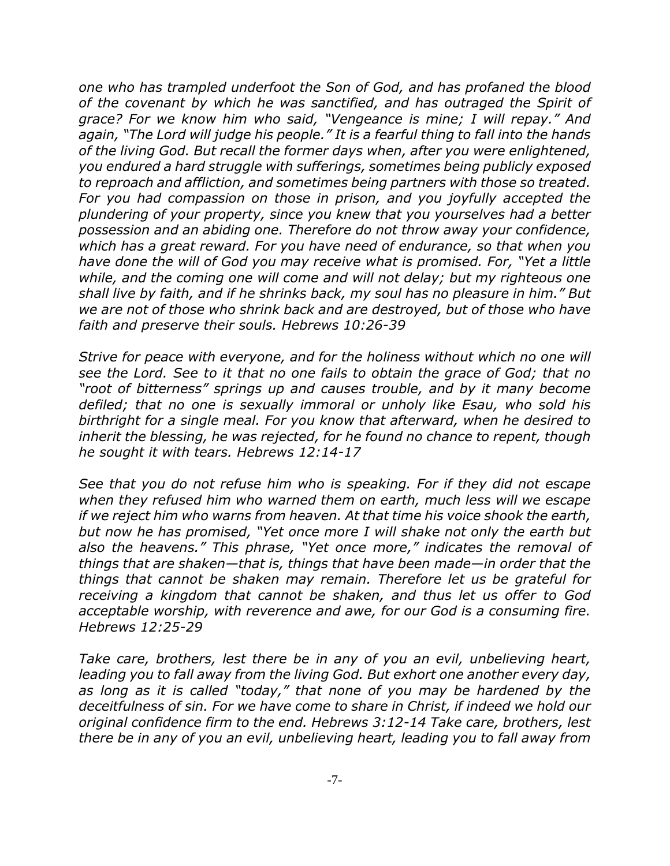*one who has trampled underfoot the Son of God, and has profaned the blood of the covenant by which he was sanctified, and has outraged the Spirit of grace? For we know him who said, "Vengeance is mine; I will repay." And again, "The Lord will judge his people." It is a fearful thing to fall into the hands of the living God. But recall the former days when, after you were enlightened, you endured a hard struggle with sufferings, sometimes being publicly exposed to reproach and affliction, and sometimes being partners with those so treated. For you had compassion on those in prison, and you joyfully accepted the plundering of your property, since you knew that you yourselves had a better possession and an abiding one. Therefore do not throw away your confidence, which has a great reward. For you have need of endurance, so that when you have done the will of God you may receive what is promised. For, "Yet a little while, and the coming one will come and will not delay; but my righteous one shall live by faith, and if he shrinks back, my soul has no pleasure in him." But we are not of those who shrink back and are destroyed, but of those who have faith and preserve their souls. Hebrews 10:26-39*

*Strive for peace with everyone, and for the holiness without which no one will see the Lord. See to it that no one fails to obtain the grace of God; that no "root of bitterness" springs up and causes trouble, and by it many become defiled; that no one is sexually immoral or unholy like Esau, who sold his birthright for a single meal. For you know that afterward, when he desired to inherit the blessing, he was rejected, for he found no chance to repent, though he sought it with tears. Hebrews 12:14-17*

*See that you do not refuse him who is speaking. For if they did not escape when they refused him who warned them on earth, much less will we escape if we reject him who warns from heaven. At that time his voice shook the earth, but now he has promised, "Yet once more I will shake not only the earth but also the heavens." This phrase, "Yet once more," indicates the removal of things that are shaken—that is, things that have been made—in order that the things that cannot be shaken may remain. Therefore let us be grateful for receiving a kingdom that cannot be shaken, and thus let us offer to God acceptable worship, with reverence and awe, for our God is a consuming fire. Hebrews 12:25-29*

*Take care, brothers, lest there be in any of you an evil, unbelieving heart, leading you to fall away from the living God. But exhort one another every day, as long as it is called "today," that none of you may be hardened by the deceitfulness of sin. For we have come to share in Christ, if indeed we hold our original confidence firm to the end. Hebrews 3:12-14 Take care, brothers, lest there be in any of you an evil, unbelieving heart, leading you to fall away from*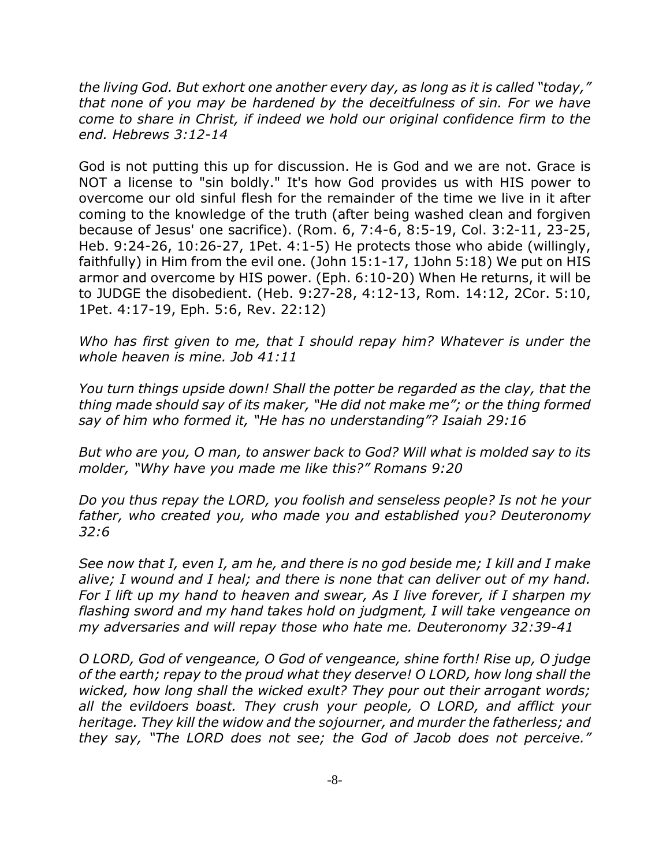*the living God. But exhort one another every day, as long as it is called "today," that none of you may be hardened by the deceitfulness of sin. For we have come to share in Christ, if indeed we hold our original confidence firm to the end. Hebrews 3:12-14*

God is not putting this up for discussion. He is God and we are not. Grace is NOT a license to "sin boldly." It's how God provides us with HIS power to overcome our old sinful flesh for the remainder of the time we live in it after coming to the knowledge of the truth (after being washed clean and forgiven because of Jesus' one sacrifice). (Rom. 6, 7:4-6, 8:5-19, Col. 3:2-11, 23-25, Heb. 9:24-26, 10:26-27, 1Pet. 4:1-5) He protects those who abide (willingly, faithfully) in Him from the evil one. (John 15:1-17, 1John 5:18) We put on HIS armor and overcome by HIS power. (Eph. 6:10-20) When He returns, it will be to JUDGE the disobedient. (Heb. 9:27-28, 4:12-13, Rom. 14:12, 2Cor. 5:10, 1Pet. 4:17-19, Eph. 5:6, Rev. 22:12)

*Who has first given to me, that I should repay him? Whatever is under the whole heaven is mine. Job 41:11*

*You turn things upside down! Shall the potter be regarded as the clay, that the thing made should say of its maker, "He did not make me"; or the thing formed say of him who formed it, "He has no understanding"? Isaiah 29:16*

*But who are you, O man, to answer back to God? Will what is molded say to its molder, "Why have you made me like this?" Romans 9:20*

*Do you thus repay the LORD, you foolish and senseless people? Is not he your father, who created you, who made you and established you? Deuteronomy 32:6*

*See now that I, even I, am he, and there is no god beside me; I kill and I make alive; I wound and I heal; and there is none that can deliver out of my hand. For I lift up my hand to heaven and swear, As I live forever, if I sharpen my flashing sword and my hand takes hold on judgment, I will take vengeance on my adversaries and will repay those who hate me. Deuteronomy 32:39-41*

*O LORD, God of vengeance, O God of vengeance, shine forth! Rise up, O judge of the earth; repay to the proud what they deserve! O LORD, how long shall the wicked, how long shall the wicked exult? They pour out their arrogant words; all the evildoers boast. They crush your people, O LORD, and afflict your heritage. They kill the widow and the sojourner, and murder the fatherless; and they say, "The LORD does not see; the God of Jacob does not perceive."*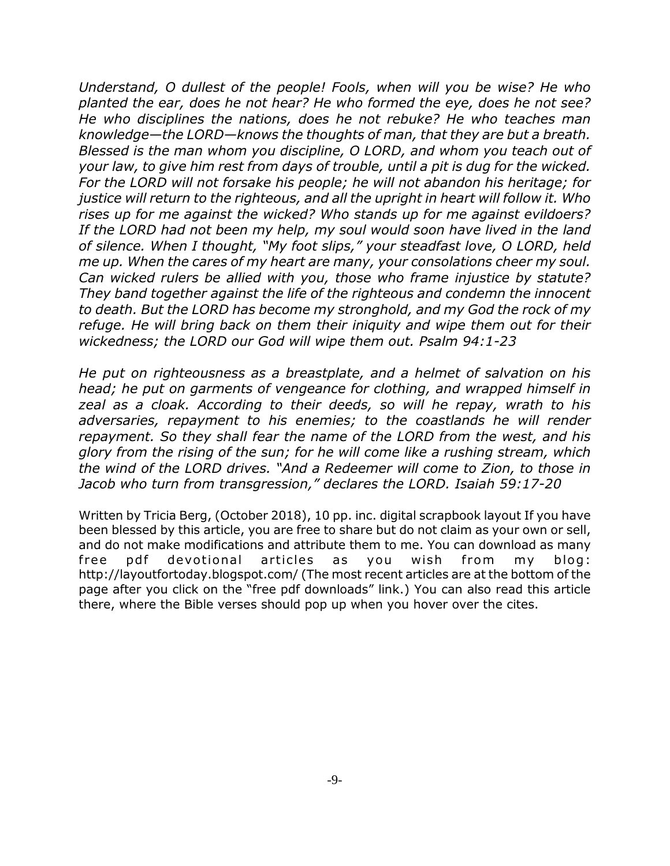*Understand, O dullest of the people! Fools, when will you be wise? He who planted the ear, does he not hear? He who formed the eye, does he not see? He who disciplines the nations, does he not rebuke? He who teaches man knowledge—the LORD—knows the thoughts of man, that they are but a breath. Blessed is the man whom you discipline, O LORD, and whom you teach out of your law, to give him rest from days of trouble, until a pit is dug for the wicked. For the LORD will not forsake his people; he will not abandon his heritage; for justice will return to the righteous, and all the upright in heart will follow it. Who rises up for me against the wicked? Who stands up for me against evildoers? If the LORD had not been my help, my soul would soon have lived in the land of silence. When I thought, "My foot slips," your steadfast love, O LORD, held me up. When the cares of my heart are many, your consolations cheer my soul. Can wicked rulers be allied with you, those who frame injustice by statute? They band together against the life of the righteous and condemn the innocent to death. But the LORD has become my stronghold, and my God the rock of my refuge. He will bring back on them their iniquity and wipe them out for their wickedness; the LORD our God will wipe them out. Psalm 94:1-23*

*He put on righteousness as a breastplate, and a helmet of salvation on his head; he put on garments of vengeance for clothing, and wrapped himself in zeal as a cloak. According to their deeds, so will he repay, wrath to his adversaries, repayment to his enemies; to the coastlands he will render repayment. So they shall fear the name of the LORD from the west, and his glory from the rising of the sun; for he will come like a rushing stream, which the wind of the LORD drives. "And a Redeemer will come to Zion, to those in Jacob who turn from transgression," declares the LORD. Isaiah 59:17-20*

Written by Tricia Berg, (October 2018), 10 pp. inc. digital scrapbook layout If you have been blessed by this article, you are free to share but do not claim as your own or sell, and do not make modifications and attribute them to me. You can download as many free pdf devotional articles as you wish from my blog: http://layoutfortoday.blogspot.com/ (The most recent articles are at the bottom of the page after you click on the "free pdf downloads" link.) You can also read this article there, where the Bible verses should pop up when you hover over the cites.